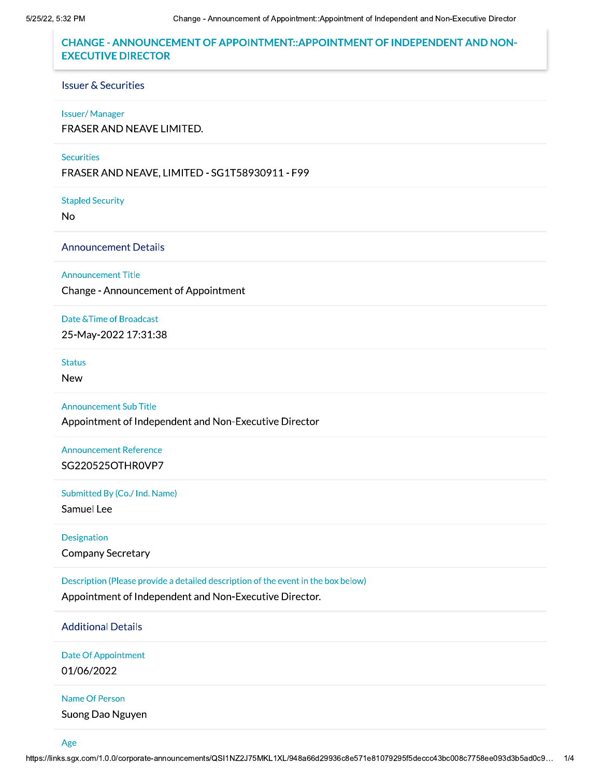# CHANGE - ANNOUNCEMENT OF APPOINTMENT::APPOINTMENT OF INDEPENDENT AND NON-**EXECUTIVE DIRECTOR**

## Issuer & Securities

#### Issuer/Manager

FRASER AND NEAVE LIMITED.

## Securities

FRASER AND NEAVE, LIMITED - SG1T58930911 - F99

Stapled Security

No<br>Announcement Details

Announcement Title

Change - Announcement of Appointment

Date & Time of Broadcast

25-May-2022 17:31:38

Status

New

Announcement Sub Title

Appointment of Independent and Non-Executive Director

Announcement Reference SG220525OTHR0VP7

Submitted By (Co./ Ind. Name)

Samuel Lee

Designation Company Secretary

Description (Please provide a detailed description of the event in the box below) Appointment of Independent and Non-Executive Director.

Additional Details

Date Of Appointment

01/06/2022

Name Of Person

Suong Dao Nguyen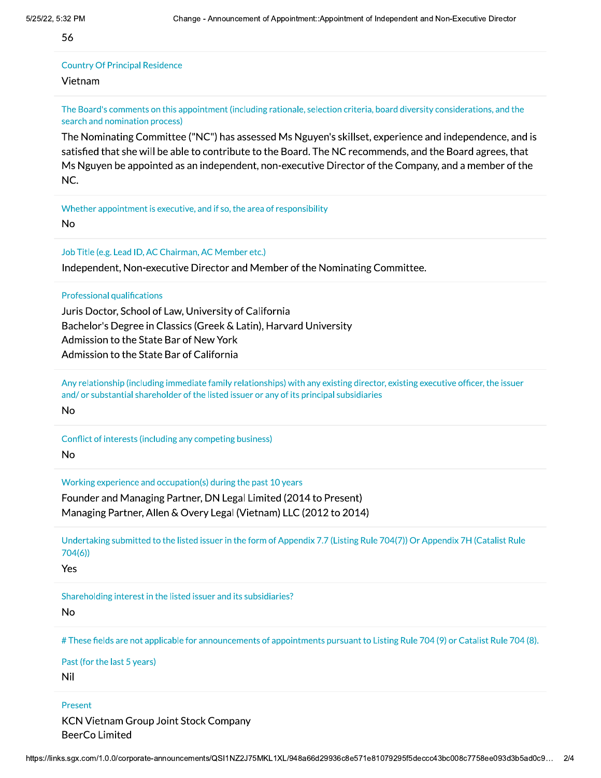56

## **Country Of Principal Residence** Vietnam

The Board's comments on this appointment (including rationale, selection criteria, board diversity considerations, and the search and nomination process)

The Nominating Committee ("NC") has assessed Ms Nguyen's skillset, experience and independence, and is satisfied that she will be able to contribute to the Board. The NC recommends, and the Board agrees, that Ms Nguyen be appointed as an independent, non-executive Director of the Company, and a member of the NC.

Whether appointment is executive, and if so, the area of responsibility **No** 

Job Title (e.g. Lead ID, AC Chairman, AC Member etc.)

Independent, Non-executive Director and Member of the Nominating Committee.

**Professional qualifications** 

Juris Doctor, School of Law, University of California Bachelor's Degree in Classics (Greek & Latin), Harvard University Admission to the State Bar of New York Admission to the State Bar of California

Any relationship (including immediate family relationships) with any existing director, existing executive officer, the issuer and/or substantial shareholder of the listed issuer or any of its principal subsidiaries

**No** 

Conflict of interests (including any competing business) **No** 

Working experience and occupation(s) during the past 10 years

Founder and Managing Partner, DN Legal Limited (2014 to Present) Managing Partner, Allen & Overy Legal (Vietnam) LLC (2012 to 2014)

Undertaking submitted to the listed issuer in the form of Appendix 7.7 (Listing Rule 704(7)) Or Appendix 7H (Catalist Rule  $704(6)$ 

Yes

Shareholding interest in the listed issuer and its subsidiaries?

**No** 

# These fields are not applicable for announcements of appointments pursuant to Listing Rule 704 (9) or Catalist Rule 704 (8).

Past (for the last 5 years)

Nil

Present

**KCN Vietnam Group Joint Stock Company BeerCo Limited**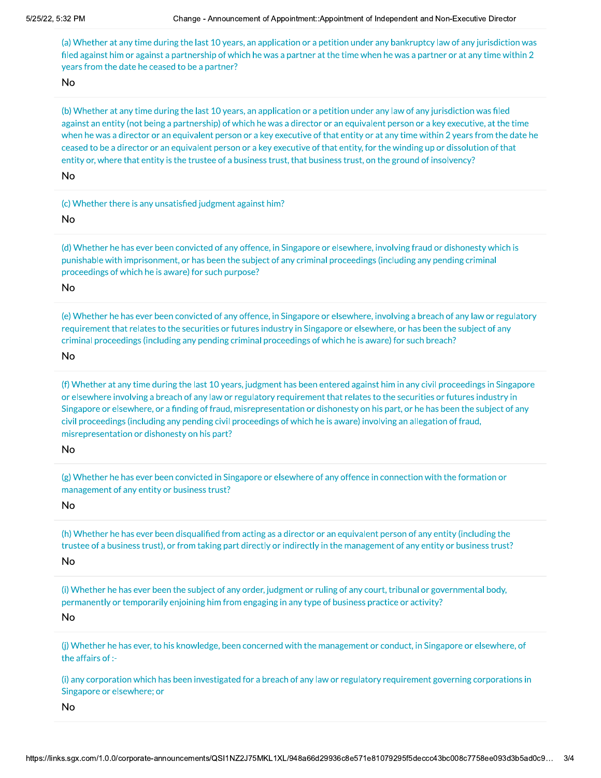(a) Whether at any time during the last 10 years, an application or a petition under any bankruptcy law of any jurisdiction was filed against him or against a partnership of which he was a partner at the time when he was a partner or at any time within 2 years from the date he ceased to be a partner?

No<br>(b) Whether at any time during the last 10 years, an application or a petition under any law of any jurisdiction was filed against an entity (not being a partnership) of which he was a director or an equivalent person or a key executive, at the time when he was a director or an equivalent person or a key executive of that entity or at any time within 2 years from the date he ceased to be a director or an equivalent person or a key executive of that entity, for the winding up or dissolution of that entity or, where that entity is the trustee of a business trust, that business trust, on the ground of insolvency?

No<br>
(c) Whether there is any unsatisfied judgment against him?

No<br>(d) Whether he has ever been convicted of any offence, in Singapore or elsewhere, involving fraud or dishonesty which is punishable with imprisonment, or has been the subject of any criminal proceedings (including any pending criminal proceedings of which he is aware) for such purpose?

No<br>6)<br>8) Whether he has ever been convicted of any offence, in Singapore or elsewhere, involving a breach of any law or regulatory) requirement that relates to the securities or futures industry in Singapore or elsewhere, or has been the subject of any criminal proceedings (including any pending criminal proceedings of which he is aware) for such breach?

No<br>(f) Whether at any time during the last 10 years, judgment has been entered against him in any civil proceedings in Singapore or elsewhere involving a breach of any law or regulatory requirement that relates to the securities or futures industry in Singapore or elsewhere, or a finding of fraud, misrepresentation or dishonesty on his part, or he has been the subject of any civil proceedings (including any pending civil proceedings of which he is aware) involving an allegation of fraud, misrepresentation or dishonesty on his part?

No<br>(g) Whether he has ever been convicted in Singapore or elsewhere of any offence in connection with the formation or management of any entity or business trust?

No<br>(h) Whether he has ever been disqualified from acting as a director or an equivalent person of any entity (including the trustee of a business trust), or from taking part directly or indirectly in the management of any entity or business trust?

No<br>(i) Whether he has ever been the subject of any order, judgment or ruling of any court, tribunal or governmental body, permanently or temporarily enjoining him from engaging in any type of business practice or activity?

No<br>(j) Whether he has ever, to his knowledge, been concerned with the management or conduct, in Singapore or elsewhere, of the affairs of :-

Singapore or elsewhere; or<br>
No<br>
https://links.sgx.com/1.0.0/corporate-announcer 012330032,&2&',0014''2,,2'04'05 -(i) any corporation which has been investigated for a breach of any law or regulatory requirement governing corporations in Singapore or elsewhere; or

No